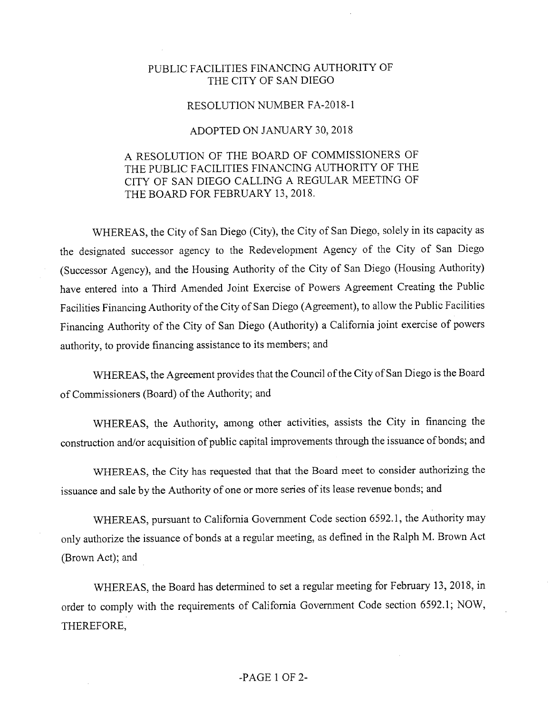## PUBLIC FACILITIES FINANCING AUTHORITY OF THE CITY OF SAN DIEGO

## RESOLUTION NUMBER FA-2018-1

## ADOPTED ON JANUARY 30, 2018

## A RESOLUTION OF THE BOARD OF COMMISSIONERS OF THE PUBLIC FACILITIES FINANCING AUTHORITY OF THE CITY OF SAN DIEGO CALLING A REGULAR MEETING OF THE BOARD FOR FEBRUARY 13, 2018.

WHEREAS, the City of San Diego (City), the City of San Diego, solely in its capacity as the designated successor agency to the Redevelopment Agency of the City of San Diego (Successor Agency), and the Housing Authority of the City of San Diego (Housing Authority) have entered into a Third Amended Joint Exercise of Powers Agreement Creating the Public Facilities Financing Authority of the City of San Diego (Agreement), to allow the Public Facilities Financing Authority of the City of San Diego (Authority) a California joint exercise of powers authority, to provide financing assistance to its members; and

WHEREAS, the Agreement provides that the Council of the City of San Diego is the Board of Commissioners (Board) of the Authority; and

WHEREAS, the Authority, among other activities, assists the City in financing the construction and/or acquisition of public capital improvements through the issuance of bonds; and

WHEREAS, the City has requested that that the Board meet to consider authorizing the issuance and sale by the Authority of one or more series of its lease revenue bonds; and

WHEREAS, pursuant to California Government Code section 6592.1, the Authority may only authorize the issuance of bonds at a regular meeting, as defined in the Ralph M. Brown Act (Brown Act); and

WHEREAS, the Board has determined to set a regular meeting for February 13, 2018, in order to comply with the requirements of California Government Code section 6592.1; NOW, THEREFORE,